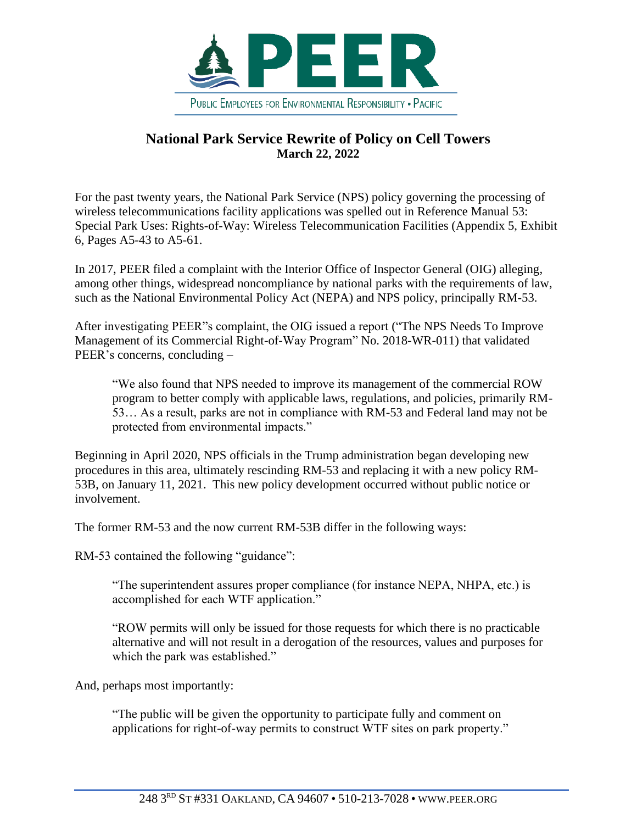

## **National Park Service Rewrite of Policy on Cell Towers March 22, 2022**

For the past twenty years, the National Park Service (NPS) policy governing the processing of wireless telecommunications facility applications was spelled out in Reference Manual 53: Special Park Uses: Rights-of-Way: Wireless Telecommunication Facilities (Appendix 5, Exhibit 6, Pages A5-43 to A5-61.

In 2017, PEER filed a complaint with the Interior Office of Inspector General (OIG) alleging, among other things, widespread noncompliance by national parks with the requirements of law, such as the National Environmental Policy Act (NEPA) and NPS policy, principally RM-53.

After investigating PEER"s complaint, the OIG issued a report ("The NPS Needs To Improve Management of its Commercial Right-of-Way Program" No. 2018-WR-011) that validated PEER's concerns, concluding –

"We also found that NPS needed to improve its management of the commercial ROW program to better comply with applicable laws, regulations, and policies, primarily RM-53… As a result, parks are not in compliance with RM-53 and Federal land may not be protected from environmental impacts."

Beginning in April 2020, NPS officials in the Trump administration began developing new procedures in this area, ultimately rescinding RM-53 and replacing it with a new policy RM-53B, on January 11, 2021. This new policy development occurred without public notice or involvement.

The former RM-53 and the now current RM-53B differ in the following ways:

RM-53 contained the following "guidance":

"The superintendent assures proper compliance (for instance NEPA, NHPA, etc.) is accomplished for each WTF application."

"ROW permits will only be issued for those requests for which there is no practicable alternative and will not result in a derogation of the resources, values and purposes for which the park was established."

And, perhaps most importantly:

"The public will be given the opportunity to participate fully and comment on applications for right-of-way permits to construct WTF sites on park property."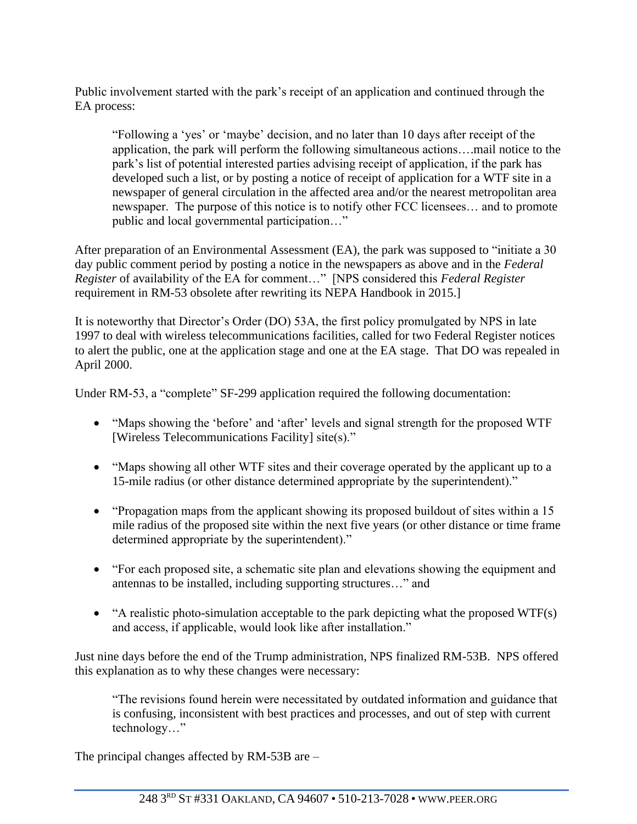Public involvement started with the park's receipt of an application and continued through the EA process:

"Following a 'yes' or 'maybe' decision, and no later than 10 days after receipt of the application, the park will perform the following simultaneous actions….mail notice to the park's list of potential interested parties advising receipt of application, if the park has developed such a list, or by posting a notice of receipt of application for a WTF site in a newspaper of general circulation in the affected area and/or the nearest metropolitan area newspaper. The purpose of this notice is to notify other FCC licensees… and to promote public and local governmental participation…"

After preparation of an Environmental Assessment (EA), the park was supposed to "initiate a 30 day public comment period by posting a notice in the newspapers as above and in the *Federal Register* of availability of the EA for comment…" [NPS considered this *Federal Register* requirement in RM-53 obsolete after rewriting its NEPA Handbook in 2015.]

It is noteworthy that Director's Order (DO) 53A, the first policy promulgated by NPS in late 1997 to deal with wireless telecommunications facilities, called for two Federal Register notices to alert the public, one at the application stage and one at the EA stage. That DO was repealed in April 2000.

Under RM-53, a "complete" SF-299 application required the following documentation:

- "Maps showing the 'before' and 'after' levels and signal strength for the proposed WTF [Wireless Telecommunications Facility] site(s)."
- "Maps showing all other WTF sites and their coverage operated by the applicant up to a 15-mile radius (or other distance determined appropriate by the superintendent)."
- "Propagation maps from the applicant showing its proposed buildout of sites within a 15 mile radius of the proposed site within the next five years (or other distance or time frame determined appropriate by the superintendent)."
- "For each proposed site, a schematic site plan and elevations showing the equipment and antennas to be installed, including supporting structures…" and
- "A realistic photo-simulation acceptable to the park depicting what the proposed WTF(s) and access, if applicable, would look like after installation."

Just nine days before the end of the Trump administration, NPS finalized RM-53B. NPS offered this explanation as to why these changes were necessary:

"The revisions found herein were necessitated by outdated information and guidance that is confusing, inconsistent with best practices and processes, and out of step with current technology…"

The principal changes affected by RM-53B are –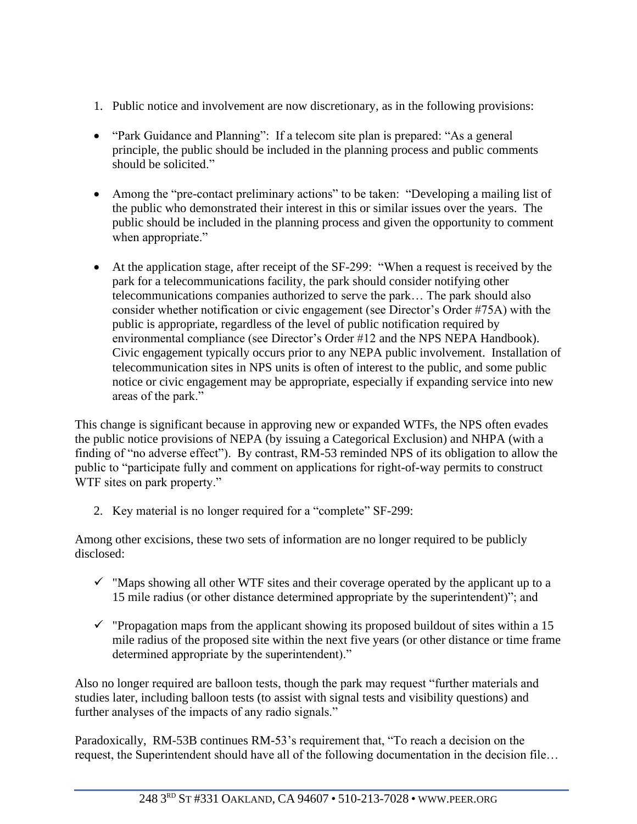- 1. Public notice and involvement are now discretionary, as in the following provisions:
- "Park Guidance and Planning": If a telecom site plan is prepared: "As a general principle, the public should be included in the planning process and public comments should be solicited."
- Among the "pre-contact preliminary actions" to be taken: "Developing a mailing list of the public who demonstrated their interest in this or similar issues over the years. The public should be included in the planning process and given the opportunity to comment when appropriate."
- At the application stage, after receipt of the SF-299: "When a request is received by the park for a telecommunications facility, the park should consider notifying other telecommunications companies authorized to serve the park… The park should also consider whether notification or civic engagement (see Director's Order #75A) with the public is appropriate, regardless of the level of public notification required by environmental compliance (see Director's Order #12 and the NPS NEPA Handbook). Civic engagement typically occurs prior to any NEPA public involvement. Installation of telecommunication sites in NPS units is often of interest to the public, and some public notice or civic engagement may be appropriate, especially if expanding service into new areas of the park."

This change is significant because in approving new or expanded WTFs, the NPS often evades the public notice provisions of NEPA (by issuing a Categorical Exclusion) and NHPA (with a finding of "no adverse effect"). By contrast, RM-53 reminded NPS of its obligation to allow the public to "participate fully and comment on applications for right-of-way permits to construct WTF sites on park property."

2. Key material is no longer required for a "complete" SF-299:

Among other excisions, these two sets of information are no longer required to be publicly disclosed:

- $\checkmark$  "Maps showing all other WTF sites and their coverage operated by the applicant up to a 15 mile radius (or other distance determined appropriate by the superintendent)"; and
- $\checkmark$  "Propagation maps from the applicant showing its proposed buildout of sites within a 15 mile radius of the proposed site within the next five years (or other distance or time frame determined appropriate by the superintendent)."

Also no longer required are balloon tests, though the park may request "further materials and studies later, including balloon tests (to assist with signal tests and visibility questions) and further analyses of the impacts of any radio signals."

Paradoxically, RM-53B continues RM-53's requirement that, "To reach a decision on the request, the Superintendent should have all of the following documentation in the decision file…